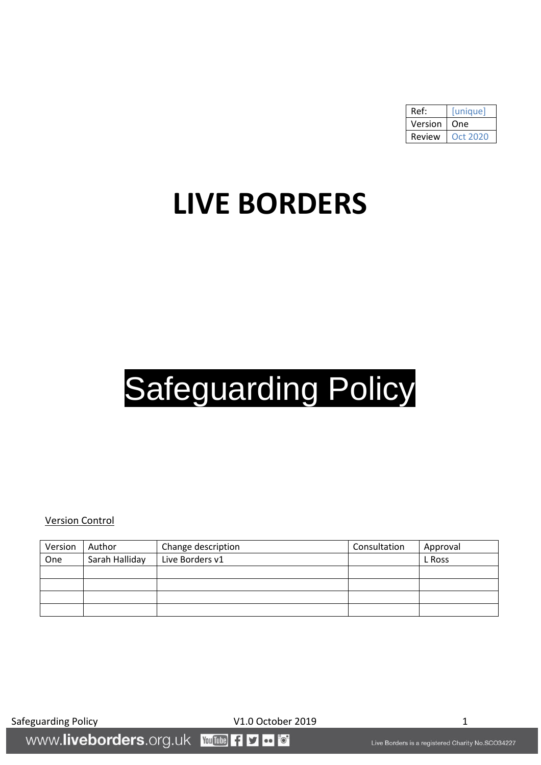| Ref:    | [uniaue] |  |
|---------|----------|--|
| Version | One      |  |
| Review  | Oct 2020 |  |

# **LIVE BORDERS**

# Safeguarding Policy

#### Version Control

| Version | Author         | Change description | Consultation | Approval |
|---------|----------------|--------------------|--------------|----------|
| One     | Sarah Halliday | Live Borders v1    |              | L Ross   |
|         |                |                    |              |          |
|         |                |                    |              |          |
|         |                |                    |              |          |
|         |                |                    |              |          |

Safeguarding Policy and Communication Controller V1.0 October 2019 1

www.liveborders.org.uk **You Tube** fl "o"  $\blacktriangleright$  $\bullet \bullet$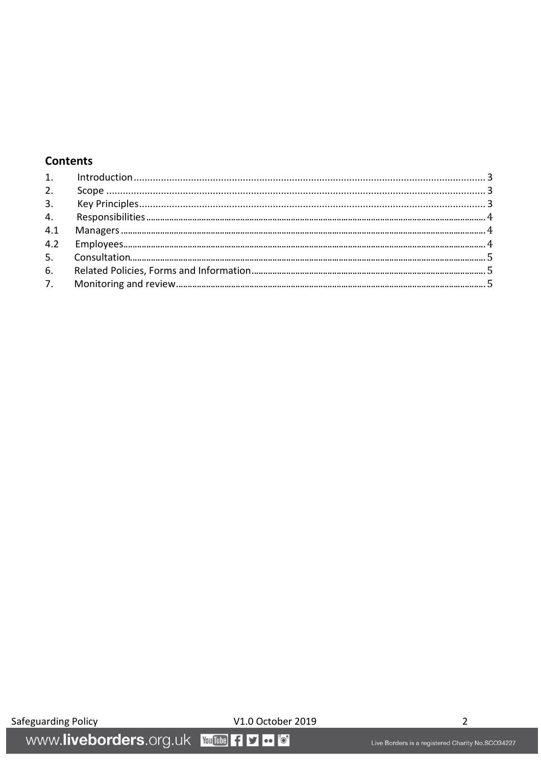# **Contents**

V1.0 October 2019

V1.0 October<br>WWW.liveborders.org.uk YouTube 1 D o 6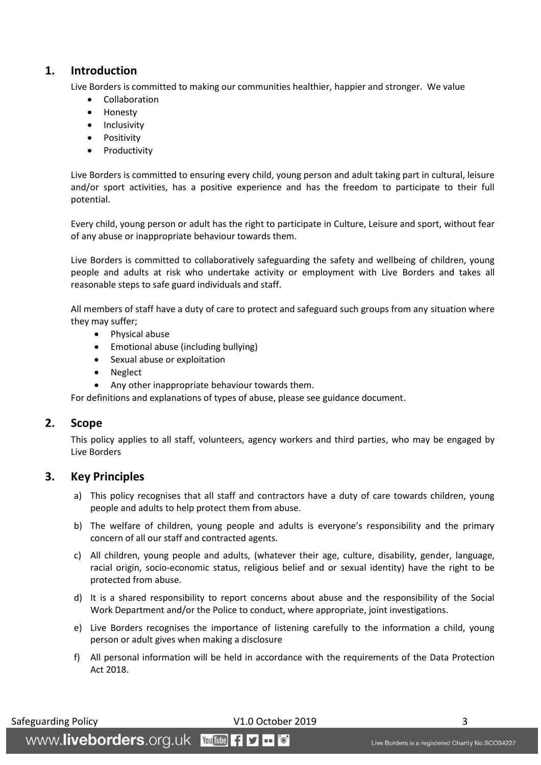# <span id="page-2-0"></span>**1. Introduction**

Live Borders is committed to making our communities healthier, happier and stronger. We value

- Collaboration
- Honesty
- Inclusivity
- Positivity
- Productivity

Live Borders is committed to ensuring every child, young person and adult taking part in cultural, leisure and/or sport activities, has a positive experience and has the freedom to participate to their full potential.

Every child, young person or adult has the right to participate in Culture, Leisure and sport, without fear of any abuse or inappropriate behaviour towards them.

Live Borders is committed to collaboratively safeguarding the safety and wellbeing of children, young people and adults at risk who undertake activity or employment with Live Borders and takes all reasonable steps to safe guard individuals and staff.

All members of staff have a duty of care to protect and safeguard such groups from any situation where they may suffer;

- Physical abuse
- Emotional abuse (including bullying)
- Sexual abuse or exploitation
- Neglect
- Any other inappropriate behaviour towards them.

For definitions and explanations of types of abuse, please see guidance document.

# <span id="page-2-1"></span>**2. Scope**

This policy applies to all staff, volunteers, agency workers and third parties, who may be engaged by Live Borders

# <span id="page-2-2"></span>**3. Key Principles**

- a) This policy recognises that all staff and contractors have a duty of care towards children, young people and adults to help protect them from abuse.
- b) The welfare of children, young people and adults is everyone's responsibility and the primary concern of all our staff and contracted agents.
- c) All children, young people and adults, (whatever their age, culture, disability, gender, language, racial origin, socio-economic status, religious belief and or sexual identity) have the right to be protected from abuse.
- d) It is a shared responsibility to report concerns about abuse and the responsibility of the Social Work Department and/or the Police to conduct, where appropriate, joint investigations.
- e) Live Borders recognises the importance of listening carefully to the information a child, young person or adult gives when making a disclosure
- f) All personal information will be held in accordance with the requirements of the Data Protection Act 2018.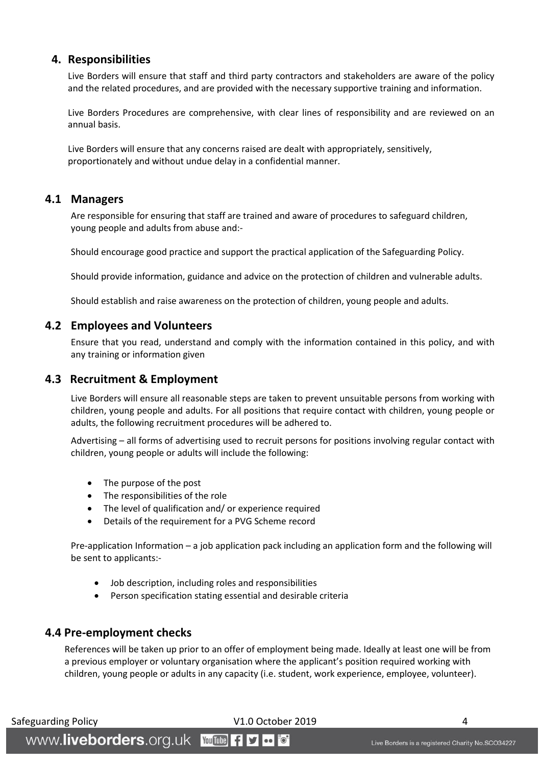# <span id="page-3-0"></span>**4. Responsibilities**

Live Borders will ensure that staff and third party contractors and stakeholders are aware of the policy and the related procedures, and are provided with the necessary supportive training and information.

Live Borders Procedures are comprehensive, with clear lines of responsibility and are reviewed on an annual basis.

Live Borders will ensure that any concerns raised are dealt with appropriately, sensitively, proportionately and without undue delay in a confidential manner.

# <span id="page-3-1"></span>**4.1 Managers**

Are responsible for ensuring that staff are trained and aware of procedures to safeguard children, young people and adults from abuse and:-

Should encourage good practice and support the practical application of the Safeguarding Policy.

Should provide information, guidance and advice on the protection of children and vulnerable adults.

Should establish and raise awareness on the protection of children, young people and adults.

# <span id="page-3-2"></span>**4.2 Employees and Volunteers**

Ensure that you read, understand and comply with the information contained in this policy, and with any training or information given

#### **4.3 Recruitment & Employment**

Live Borders will ensure all reasonable steps are taken to prevent unsuitable persons from working with children, young people and adults. For all positions that require contact with children, young people or adults, the following recruitment procedures will be adhered to.

Advertising – all forms of advertising used to recruit persons for positions involving regular contact with children, young people or adults will include the following:

- The purpose of the post
- The responsibilities of the role
- The level of qualification and/ or experience required
- Details of the requirement for a PVG Scheme record

Pre-application Information – a job application pack including an application form and the following will be sent to applicants:-

- Job description, including roles and responsibilities
- Person specification stating essential and desirable criteria

# **4.4 Pre-employment checks**

References will be taken up prior to an offer of employment being made. Ideally at least one will be from a previous employer or voluntary organisation where the applicant's position required working with children, young people or adults in any capacity (i.e. student, work experience, employee, volunteer).

Safeguarding Policy **Contact Contact Contact Contact V1.0 October 2019** 4